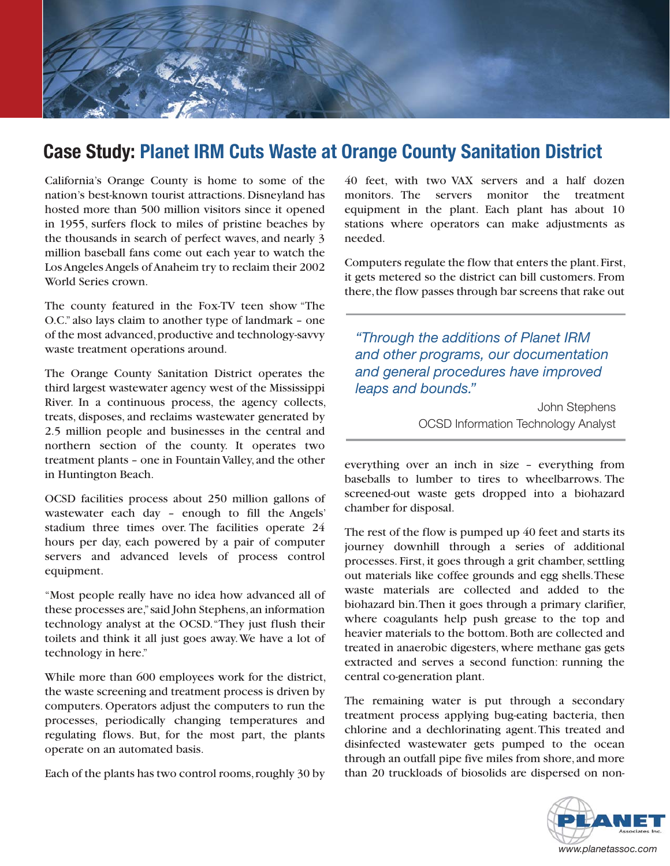

## **Case Study: Planet IRM Cuts Waste at Orange County Sanitation District**

California's Orange County is home to some of the nation's best-known tourist attractions. Disneyland has hosted more than 500 million visitors since it opened in 1955, surfers flock to miles of pristine beaches by the thousands in search of perfect waves, and nearly 3 million baseball fans come out each year to watch the Los Angeles Angels of Anaheim try to reclaim their 2002 World Series crown.

The county featured in the Fox-TV teen show "The O.C." also lays claim to another type of landmark - one of the most advanced, productive and technology-savvy waste treatment operations around.

The Orange County Sanitation District operates the third largest wastewater agency west of the Mississippi River. In a continuous process, the agency collects, treats, disposes, and reclaims wastewater generated by 2.5 million people and businesses in the central and northern section of the county. It operates two treatment plants - one in Fountain Valley, and the other in Huntington Beach.

OCSD facilities process about 250 million gallons of wastewater each day - enough to fill the Angels' stadium three times over. The facilities operate 24 hours per day, each powered by a pair of computer servers and advanced levels of process control equipment.

"Most people really have no idea how advanced all of these processes are," said John Stephens, an information technology analyst at the OCSD. "They just flush their toilets and think it all just goes away. We have a lot of technology in here."

While more than 600 employees work for the district, the waste screening and treatment process is driven by computers. Operators adjust the computers to run the processes, periodically changing temperatures and regulating flows. But, for the most part, the plants operate on an automated basis.

Each of the plants has two control rooms, roughly 30 by

40 feet, with two VAX servers and a half dozen monitors. The servers monitor the treatment equipment in the plant. Each plant has about 10 stations where operators can make adjustments as needed.

Computers regulate the flow that enters the plant. First, it gets metered so the district can bill customers. From there, the flow passes through bar screens that rake out

"Through the additions of Planet IRM and other programs, our documentation and general procedures have improved leaps and bounds."

> John Stephens **OCSD Information Technology Analyst**

everything over an inch in size - everything from baseballs to lumber to tires to wheelbarrows. The screened-out waste gets dropped into a biohazard chamber for disposal.

The rest of the flow is pumped up 40 feet and starts its journey downhill through a series of additional processes. First, it goes through a grit chamber, settling out materials like coffee grounds and egg shells. These waste materials are collected and added to the biohazard bin. Then it goes through a primary clarifier, where coagulants help push grease to the top and heavier materials to the bottom. Both are collected and treated in anaerobic digesters, where methane gas gets extracted and serves a second function: running the central co-generation plant.

The remaining water is put through a secondary treatment process applying bug-eating bacteria, then chlorine and a dechlorinating agent. This treated and disinfected wastewater gets pumped to the ocean through an outfall pipe five miles from shore, and more than 20 truckloads of biosolids are dispersed on non-